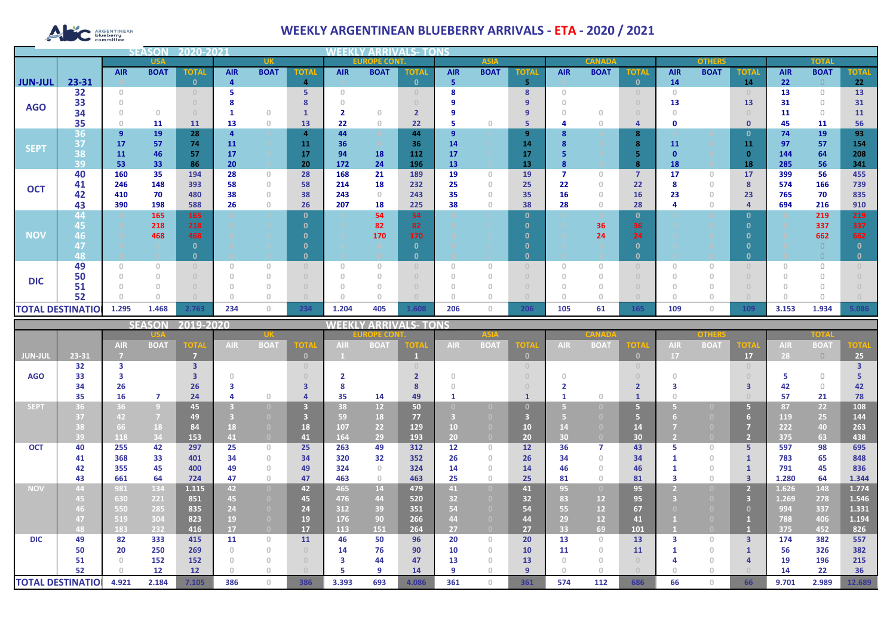# ARGENTINEAN

## **WEEKLY ARGENTINEAN BLUEBERRY ARRIVALS - ETA - 2020 / 2021**

|                |                          |            | <b>SEASOI</b> | 2020-202     |            |                                       |                |                                       |             |              |            |             |                     |            |             |                |            |              |               |            |             |               |  |  |              |  |
|----------------|--------------------------|------------|---------------|--------------|------------|---------------------------------------|----------------|---------------------------------------|-------------|--------------|------------|-------------|---------------------|------------|-------------|----------------|------------|--------------|---------------|------------|-------------|---------------|--|--|--------------|--|
|                |                          | <b>USA</b> |               |              |            |                                       |                |                                       |             | <b>UK</b>    |            |             | <b>EUROPE CONT.</b> |            |             | <b>ASIA</b>    |            |              | <b>CANADA</b> |            |             | <b>OTHERS</b> |  |  | <b>TOTAL</b> |  |
|                |                          | <b>AIR</b> | <b>BOAT</b>   | <b>TOTAL</b> | <b>AIR</b> | <b>BOAT</b>                           | <b>TOTAL</b>   | <b>AIR</b>                            | <b>BOAT</b> | <b>TOTAL</b> | <b>AIR</b> | <b>BOAT</b> | <b>TOTAI</b>        | <b>AIR</b> | <b>BOAT</b> | <b>TOTAL</b>   | <b>AIR</b> | <b>BOAT</b>  | <b>TOTAL</b>  | <b>AIR</b> | <b>BOAT</b> | <b>TOTAL</b>  |  |  |              |  |
| <b>JUN-JUL</b> | 23-31                    |            |               | n            |            |                                       | 4              |                                       |             | O.           | 5          |             | 5                   |            |             | $\mathbf{0}$   | 14         |              | 14            | 22         |             | 22            |  |  |              |  |
| <b>AGO</b>     | 32                       | $\Omega$   |               |              |            |                                       | 5              | $\cap$                                |             |              |            |             | 8                   |            |             |                | $\Box$     |              |               | 13         | $\Omega$    | 13            |  |  |              |  |
|                | 33                       |            |               |              |            |                                       |                |                                       |             |              |            |             |                     |            |             |                | 13         |              | 13            | 31         | $\bigcap$   | 31            |  |  |              |  |
|                | 34                       |            | $\Omega$      |              |            | $\Omega$                              |                |                                       | n           |              |            |             | 9                   |            |             |                |            |              |               | 11         | $\Omega$    | 11            |  |  |              |  |
|                | 35                       |            | 11            | 11           | 13         | $\theta$                              | 13             | 22                                    | $\theta$    | 22           | 5          |             | 5                   |            |             | 4              | Ω          |              | $\mathbf 0$   | 45         | 11          | 56            |  |  |              |  |
|                | 36                       | 9          | 19            | 28           |            |                                       | $\overline{a}$ | 44                                    |             | 44           | 9          |             | 9                   |            |             | 8              |            |              | 0             | 74         | 19          | 93            |  |  |              |  |
| <b>SEPT</b>    | 37                       | 17         | 57            | 74           | 11         |                                       | 11             | 36                                    |             | 36           | 14         |             | 14                  |            |             | 8              | 11         |              | 11            | 97         | 57          | 154           |  |  |              |  |
|                | 38                       | 11         | 46            | 57           | 17         |                                       | 17             | 94                                    | 18          | 112          | 17         |             | 17                  |            |             |                |            |              | $\Omega$      | 144        | 64          | 208           |  |  |              |  |
|                | 39                       | 53         | 33            | 86           | 20         |                                       | 20             | 172                                   | 24          | 196          | 13         |             | 13                  |            |             | 8              | 18         |              | 18            | 285        | 56          | 341           |  |  |              |  |
|                | 40                       | 160        | 35            | 194          | 28         | $\circ$                               | 28             | 168                                   | 21          | 189          | 19         | $\Omega$    | 19                  |            |             | $\overline{7}$ | 17         | $\circ$      | 17            | 399        | 56          | 455           |  |  |              |  |
| <b>OCT</b>     | 41                       | 246        | 148           | 393          | 58         | $\theta$                              | 58             | 214                                   | 18          | 232          | 25         | n           | 25                  | 22         |             | 22             |            | 0            | 8             | 574        | 166         | 739           |  |  |              |  |
|                | 42                       | 410        | 70            | 480          | 38         | $\begin{array}{c} 0 \\ 0 \end{array}$ | 38             | 243                                   | $\Omega$    | 243          | 35         |             | 35                  | 16         |             | 16             | 23         | $\mathbf{0}$ | 23            | 765        | 70          | 835           |  |  |              |  |
|                | 43                       | 390        | 198           | 588          | 26         | $\begin{array}{c} 0 \\ 0 \end{array}$ | 26             | 207                                   | 18          | 225          | 38         |             | 38                  | 28         |             | 28             |            | 0            |               | 694        | 216         | 910           |  |  |              |  |
|                | 44                       |            | 165           | 165          |            |                                       | $\Omega$       |                                       | 54          | 54           |            |             | $\Omega$            |            |             | $\mathbf{0}$   |            |              | -0            |            | 219         | 219           |  |  |              |  |
|                | 45                       |            | 218           | 218          |            |                                       |                |                                       | 82          | 82           |            |             |                     |            | 36          | 36             |            |              |               |            | 337         | 337           |  |  |              |  |
| <b>NOV</b>     | 46                       |            | 468           | 468          |            |                                       |                |                                       | 170         | 170          |            |             |                     |            | 24          | 24             |            |              |               |            | 662         | 662           |  |  |              |  |
|                | 48                       |            |               |              |            |                                       |                |                                       |             | n            |            |             | 0                   |            |             | $\mathbf{0}$   |            |              |               |            |             |               |  |  |              |  |
|                | 49                       |            |               |              |            | $\Omega$                              |                | $\begin{array}{c} 0 \\ 0 \end{array}$ |             |              | $\Omega$   |             |                     |            |             |                |            |              |               |            |             |               |  |  |              |  |
|                | 50                       |            |               |              |            | $\Omega$                              |                |                                       |             |              |            |             |                     |            |             |                |            |              |               |            |             |               |  |  |              |  |
| <b>DIC</b>     | 51                       |            |               |              |            |                                       |                |                                       |             |              |            |             |                     |            |             |                |            |              |               |            |             |               |  |  |              |  |
|                | 52                       |            |               |              |            |                                       |                |                                       |             |              |            |             |                     |            |             |                |            |              |               |            |             |               |  |  |              |  |
|                |                          |            |               |              |            |                                       |                |                                       |             |              |            |             |                     |            |             |                |            |              |               |            |             |               |  |  |              |  |
|                | <b>TOTAL DESTINATIOL</b> | 1.295      | 1.468         | 2.763        | 234        | $\mathbf{0}$                          | 234            | 1.204                                 | 405         | 1.608        | 206        | $\circ$     | 206                 | 105        | 61          | 165            | 109        | $\circ$      | 109           | 3.153      | 1.934       | 5.086         |  |  |              |  |

|                |                          |            | <b>SEASON</b>  | 2019-2020         |                 |                                       |              | WEEKI      |                 | LY ARRIVALS- TONS |            |                                  |              |                 |                 |                                  |            |             |                |            |             |             |
|----------------|--------------------------|------------|----------------|-------------------|-----------------|---------------------------------------|--------------|------------|-----------------|-------------------|------------|----------------------------------|--------------|-----------------|-----------------|----------------------------------|------------|-------------|----------------|------------|-------------|-------------|
|                |                          |            |                |                   |                 |                                       |              |            | <b>OPE COI</b>  |                   |            | <b>ASIA</b>                      |              |                 |                 |                                  |            | other       |                |            | TOTA        |             |
|                |                          | <b>AIR</b> | <b>BOAT</b>    | <b>TOTA</b>       | AIR.            | <b>BOAT</b>                           | <b>TOTA</b>  | <b>AIR</b> | <b>BOAT</b>     | OTA               | <b>AIR</b> | <b>BOAT</b>                      | ют           | <b>AIR</b>      | <b>BOA</b>      | <b>TOTA</b>                      | <b>AIR</b> | <b>BOAT</b> | OTA            | <b>AIR</b> | <b>BOAT</b> | <b>TOTA</b> |
| <b>JUN-JUL</b> | 23-31                    |            |                | -7                |                 |                                       | $\mathbf{0}$ |            |                 |                   |            |                                  | $\Box$       |                 |                 | $\mathbf{0}$                     | 17         |             | 17             | 28         | $\bigcirc$  | 25          |
|                | 32                       | з          |                | 3                 |                 |                                       | $\circ$      |            |                 |                   |            |                                  |              |                 |                 | $\begin{array}{c} 0 \end{array}$ |            |             | $\Omega$       |            |             |             |
| <b>AGO</b>     | 33                       |            |                |                   |                 |                                       |              |            |                 |                   |            |                                  |              |                 |                 |                                  |            |             |                |            | $\bigcap$   |             |
|                | 34                       | 26         |                | 26                |                 |                                       |              |            |                 |                   |            |                                  |              |                 |                 |                                  |            |             |                | 42         | $\Omega$    | 42          |
|                | 35                       | 16         | $\overline{7}$ | 24                |                 | $\Box$                                |              | 35         | 14              | 49                |            |                                  |              |                 |                 |                                  |            |             |                | 57         | 21          | 78          |
| <b>SEPT</b>    | 36                       | 36         | $\overline{9}$ | 45                |                 | $\Box$                                |              | 38         | 12 <sup>°</sup> | 50                |            |                                  |              |                 |                 |                                  |            |             | 67             | 87         | 22          | 108         |
|                | 37                       | 42         | $\overline{7}$ | 49                |                 |                                       |              | 59         | 18              | 77                |            |                                  |              |                 |                 |                                  |            |             |                | 119        | 25          | 144         |
|                | 38                       | 66         | 18             | 84                | 18              | $\Box$                                | 18           | 107        | 22              | 129               | 10         | (0)                              | 10           |                 |                 | 14                               |            |             |                | 222        | 40          | 263         |
|                | 39                       | 118        | 34             | 153               | 41 <sup>1</sup> | $\overline{0}$                        | 41           | 164        | 29              | 193               | 20         | $\Box$                           | 20           | 30 <sup>°</sup> |                 | 30 <sub>2</sub>                  |            |             | $\overline{2}$ | 375        | 63          | 438         |
| <b>OCT</b>     | 40                       | 255        | 42             | 297               | 25              | $\circ$                               | 25           | 263        | 49              | 312               | 12         | $\begin{array}{c} 0 \end{array}$ | 12           | 36              |                 | 43                               |            | $\Box$      | 5.             | 597        | 98          | 695         |
|                | 41                       | 368        | 33             | 401               | 34              | $\begin{array}{c} 0 \\ 0 \end{array}$ | 34           | 320        | 32              | 352               | 26         | $\Omega$                         | 26           | 34              | $\cap$          | 34                               |            | $\Omega$    |                | 783        | 65          | 848         |
|                | 42                       | 355        | 45             | 400               | 49              | $\Omega$                              | 49           | 324        | $\Omega$        | 324               | 14         |                                  | 14           | 46              |                 | 46                               |            | $\cup$      |                | 791        | 45          | 836         |
|                | 43                       | 661        | 64             | 724               | 47              | $\mathbf{0}$                          | 47           | 463        | $\Omega$        | 463               | 25         | $\cap$                           | 25           | 81              | $\cap$          | 81                               |            | $\cup$      | $\overline{3}$ | 1.280      | 64          | 1.344       |
| <b>NOV</b>     | 44                       | 981        | 134            | 1.115             | 42              | $\overline{0}$                        | 42           | 465        | 14              | 479               | 41         | $\overline{0}$                   | 41           | 95              | $\Box$          | 95                               |            |             | $\overline{2}$ | 1.626      | 148         | 1.774       |
|                | 45                       | 630        | 221            | 851               | 45              | $\overline{0}$                        | 45           | 476        | 44              | 520               | 32         |                                  | 32           | 83              | 12 <sup>2</sup> | 95                               |            |             | 3              | 1.269      | 278         | 1.546       |
|                | 46                       | 550        | 285            | 835               | 24              | $\Omega$                              | 24           | 312        | 39              | 351               | 54         |                                  | 54           | 55              | 12              | 67                               |            |             | $\Omega$       | 994        | 337         | 1.331       |
|                | 47                       | 519        | 304            | 823               | 19              | $\Omega$                              | 19           | 176        | 90              | 266               | 44         |                                  | 44           | 29              | 12              | 41                               |            |             |                | 788        | 406         | 1.194       |
|                | 48                       | 183        | 232            | 416               | 17              | $\overline{0}$                        | 17           | 113        | 151             | 264               | 27         | $\Box$                           | 27           | 33              | 69              | 101                              |            |             |                | 375        | 452         | 826         |
| <b>DIC</b>     | 49                       | 82         | 333            | 415               | 11              | $\circ$                               | 11           | 46         | 50              | 96                | 20         | $\begin{array}{c} 0 \end{array}$ | 20           | 13              | $\Omega$        | 13                               |            | $\Box$      | $\overline{3}$ | 174        | 382         | 557         |
|                | 50                       | 20         | 250            | 269               |                 | $\begin{array}{c} 0 \\ 0 \end{array}$ | $\cup$       | 14         | 76              | 90                | 10         | $\Box$                           | 10           | 11              |                 | 11                               |            | $\cup$      |                | 56         | 326         | 382         |
|                | 51                       |            | 152            | 152               |                 | $\begin{array}{c} 0 \\ 0 \end{array}$ | $\cap$       | з          | 44              | 47                | 13         |                                  | 13           |                 |                 | $\Omega$                         |            |             |                | 19         | 196         | 215         |
|                | 52                       |            | 12             | $12 \overline{ }$ |                 | $\cap$                                |              |            | q               | 14                | 9          |                                  | $\mathbf{q}$ |                 |                 |                                  |            |             |                | 14         | 22          | 36          |
|                | <b>TOTAL DESTINATIOI</b> | 4.921      | 2.184          | 7.105             | 386             | $\Omega$                              | 386          | 3.393      | 693             | 4.086             | 361        | $\Box$                           | 361          | 574             | 112             | 686                              | 66         |             | 66             | 9.701      | 2.989       | 12.689      |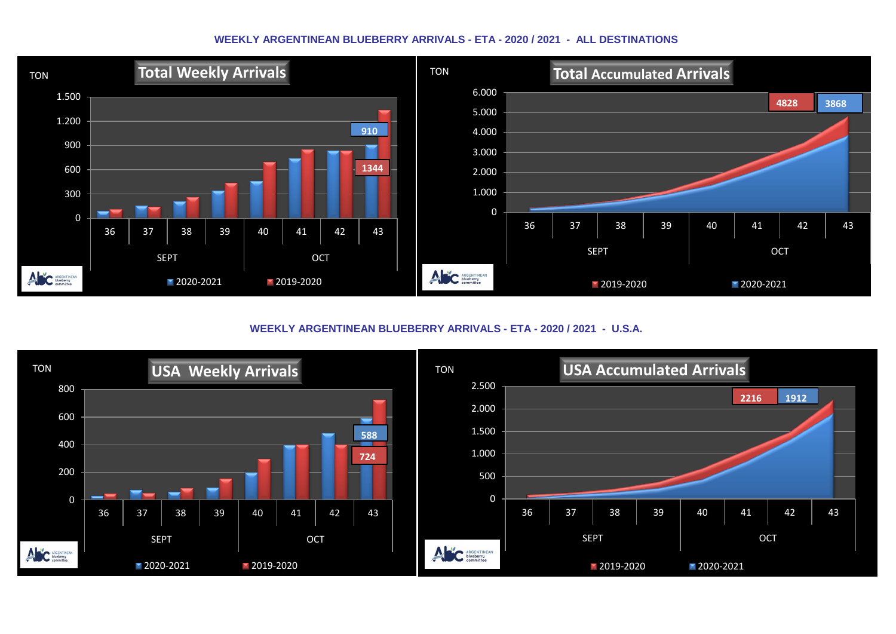#### **WEEKLY ARGENTINEAN BLUEBERRY ARRIVALS - ETA - 2020 / 2021 - ALL DESTINATIONS**



**WEEKLY ARGENTINEAN BLUEBERRY ARRIVALS - ETA - 2020 / 2021 - U.S.A.**

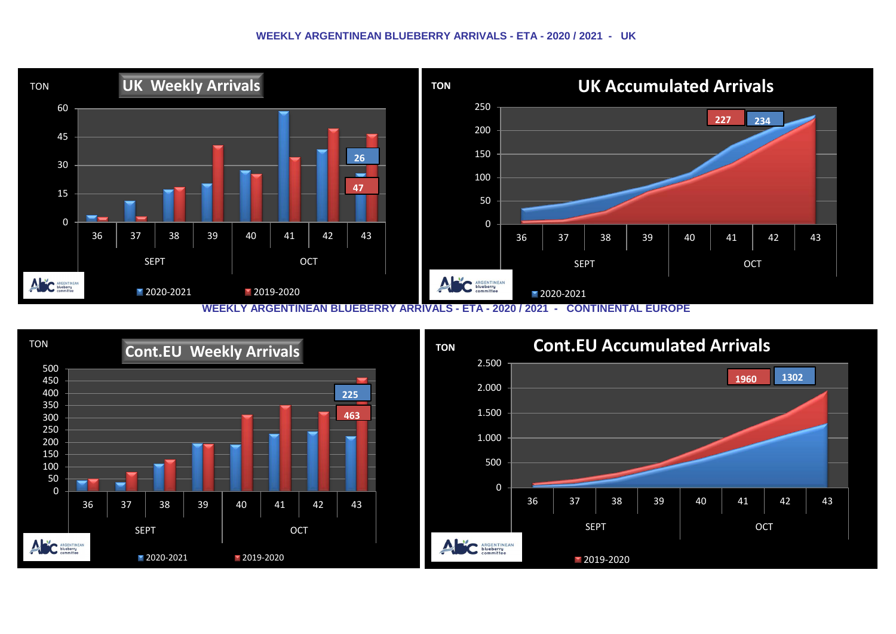#### **WEEKLY ARGENTINEAN BLUEBERRY ARRIVALS - ETA - 2020 / 2021 - UK**